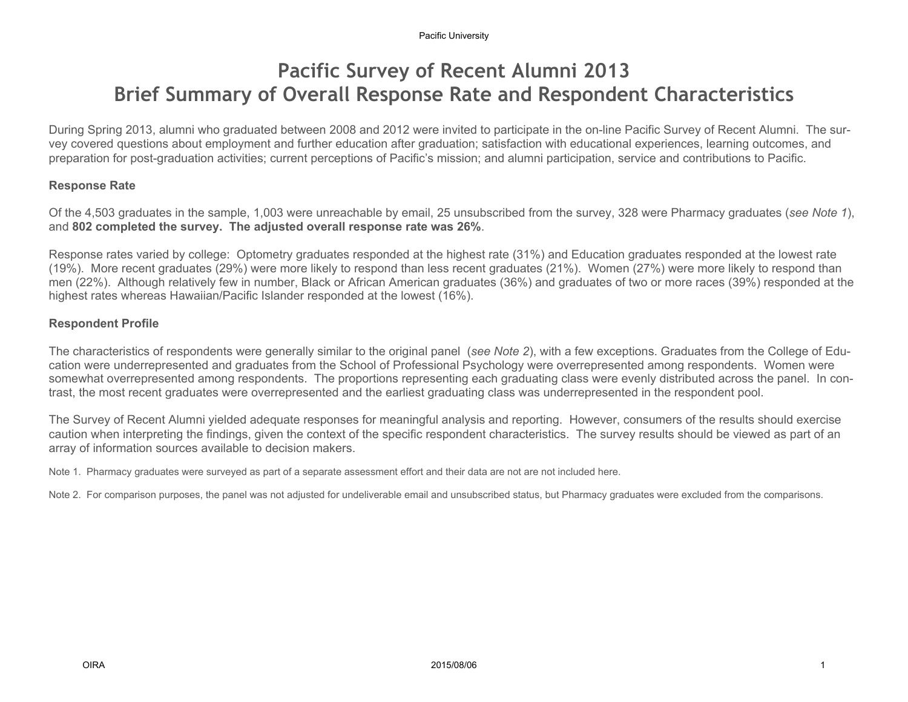#### Pacific University

## Pacific Survey of Recent Alumni 2013 Brief Summary of Overall Response Rate and Respondent Characteristics

During Spring 2013, alumni who graduated between 2008 and 2012 were invited to participate in the on-line Pacific Survey of Recent Alumni. The survey covered questions about employment and further education after graduation; satisfaction with educational experiences, learning outcomes, and preparation for post-graduation activities; current perceptions of Pacific's mission; and alumni participation, service and contributions to Pacific.

### Response Rate

Of the 4,503 graduates in the sample, 1,003 were unreachable by email, 25 unsubscribed from the survey, 328 were Pharmacy graduates (see Note 1), and 802 completed the survey. The adjusted overall response rate was 26%.

Response rates varied by college: Optometry graduates responded at the highest rate (31%) and Education graduates responded at the lowest rate (19%). More recent graduates (29%) were more likely to respond than less recent graduates (21%). Women (27%) were more likely to respond than men (22%). Although relatively few in number, Black or African American graduates (36%) and graduates of two or more races (39%) responded at the highest rates whereas Hawaiian/Pacific Islander responded at the lowest (16%).

### Respondent Profile

The characteristics of respondents were generally similar to the original panel (see Note 2), with a few exceptions. Graduates from the College of Education were underrepresented and graduates from the School of Professional Psychology were overrepresented among respondents. Women were somewhat overrepresented among respondents. The proportions representing each graduating class were evenly distributed across the panel. In contrast, the most recent graduates were overrepresented and the earliest graduating class was underrepresented in the respondent pool.

The Survey of Recent Alumni yielded adequate responses for meaningful analysis and reporting. However, consumers of the results should exercise caution when interpreting the findings, given the context of the specific respondent characteristics. The survey results should be viewed as part of an array of information sources available to decision makers.

Note 1. Pharmacy graduates were surveyed as part of a separate assessment effort and their data are not are not included here.

Note 2. For comparison purposes, the panel was not adjusted for undeliverable email and unsubscribed status, but Pharmacy graduates were excluded from the comparisons.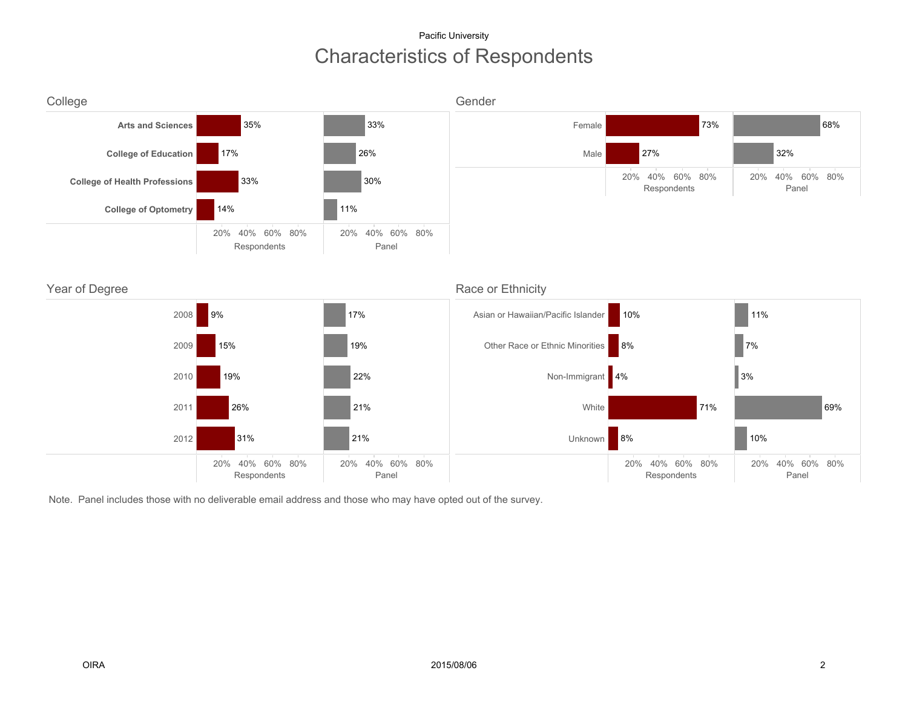### Characteristics of Respondents Pacific University



Note. Panel includes those with no deliverable email address and those who may have opted out of the survey.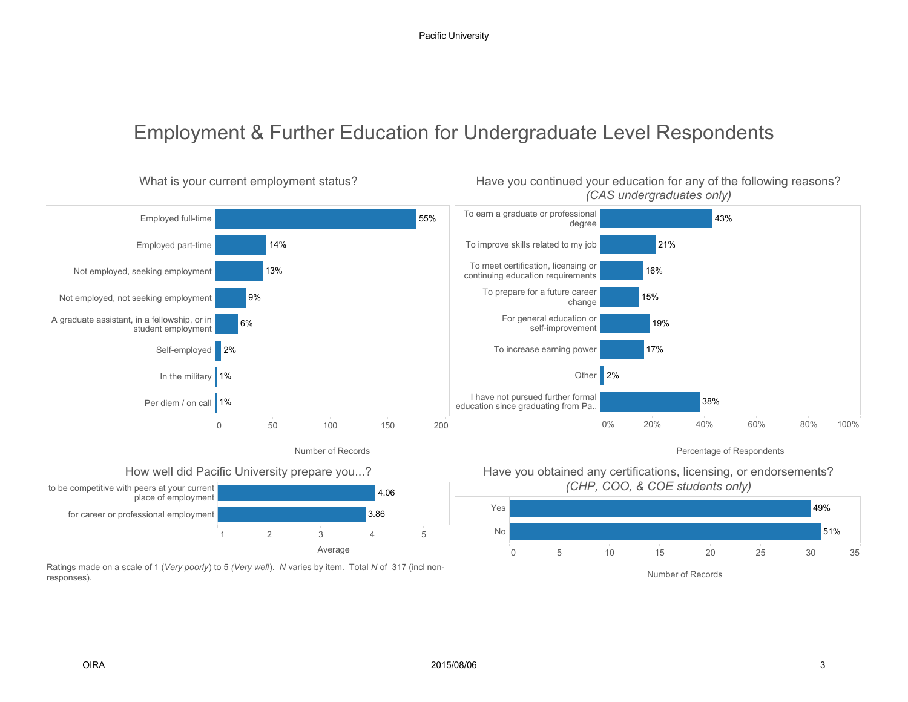# Employment & Further Education for Undergraduate Level Respondents



Have you continued your education for any of the following reasons?

Ratings made on a scale of 1 (Very poorly) to 5 (Very well). N varies by item. Total N of 317 (incl nonresponses).

What is your current employment status?

Average



Number of Records